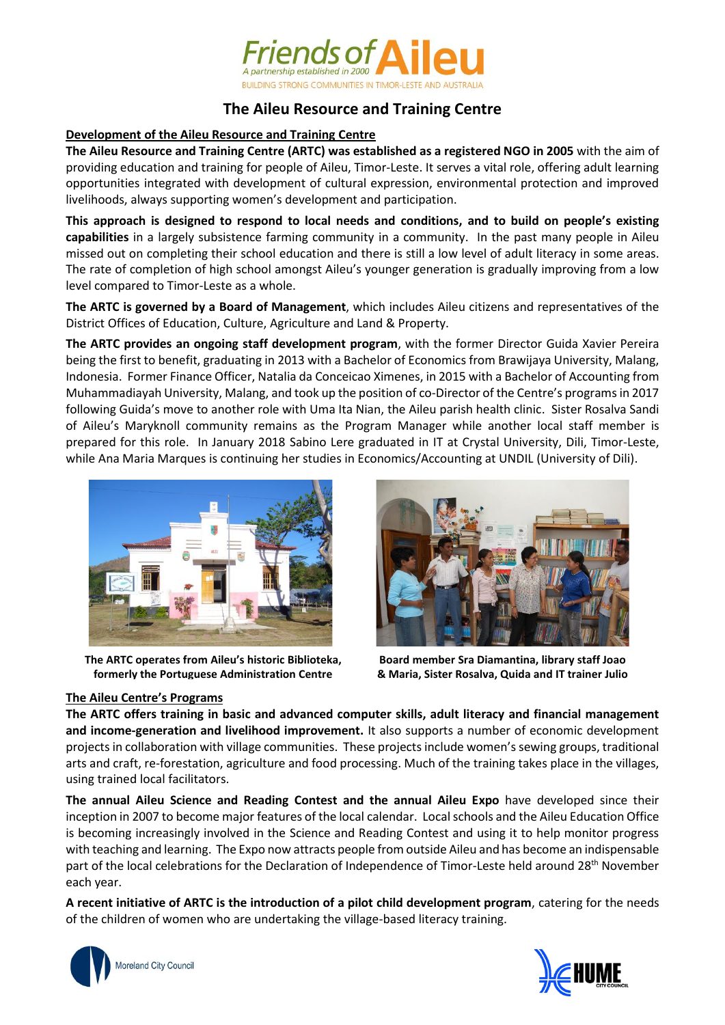

# **The Aileu Resource and Training Centre**

#### **Development of the Aileu Resource and Training Centre**

**The Aileu Resource and Training Centre (ARTC) was established as a registered NGO in 2005** with the aim of providing education and training for people of Aileu, Timor-Leste. It serves a vital role, offering adult learning opportunities integrated with development of cultural expression, environmental protection and improved livelihoods, always supporting women's development and participation.

**This approach is designed to respond to local needs and conditions, and to build on people's existing capabilities** in a largely subsistence farming community in a community. In the past many people in Aileu missed out on completing their school education and there is still a low level of adult literacy in some areas. The rate of completion of high school amongst Aileu's younger generation is gradually improving from a low level compared to Timor-Leste as a whole.

**The ARTC is governed by a Board of Management**, which includes Aileu citizens and representatives of the District Offices of Education, Culture, Agriculture and Land & Property.

**The ARTC provides an ongoing staff development program**, with the former Director Guida Xavier Pereira being the first to benefit, graduating in 2013 with a Bachelor of Economics from Brawijaya University, Malang, Indonesia. Former Finance Officer, Natalia da Conceicao Ximenes, in 2015 with a Bachelor of Accounting from Muhammadiayah University, Malang, and took up the position of co-Director of the Centre's programs in 2017 following Guida's move to another role with Uma Ita Nian, the Aileu parish health clinic. Sister Rosalva Sandi of Aileu's Maryknoll community remains as the Program Manager while another local staff member is prepared for this role. In January 2018 Sabino Lere graduated in IT at Crystal University, Dili, Timor-Leste, while Ana Maria Marques is continuing her studies in Economics/Accounting at UNDIL (University of Dili).



**The ARTC operates from Aileu's historic Biblioteka, formerly the Portuguese Administration Centre**



**Board member Sra Diamantina, library staff Joao & Maria, Sister Rosalva, Quida and IT trainer Julio**

## **The Aileu Centre's Programs**

**The ARTC offers training in basic and advanced computer skills, adult literacy and financial management and income-generation and livelihood improvement.** It also supports a number of economic development projects in collaboration with village communities. These projects include women's sewing groups, traditional arts and craft, re-forestation, agriculture and food processing. Much of the training takes place in the villages, using trained local facilitators.

**The annual Aileu Science and Reading Contest and the annual Aileu Expo** have developed since their inception in 2007 to become major features of the local calendar. Local schools and the Aileu Education Office is becoming increasingly involved in the Science and Reading Contest and using it to help monitor progress with teaching and learning. The Expo now attracts people from outside Aileu and has become an indispensable part of the local celebrations for the Declaration of Independence of Timor-Leste held around 28<sup>th</sup> November each year.

**A recent initiative of ARTC is the introduction of a pilot child development program**, catering for the needs of the children of women who are undertaking the village-based literacy training.